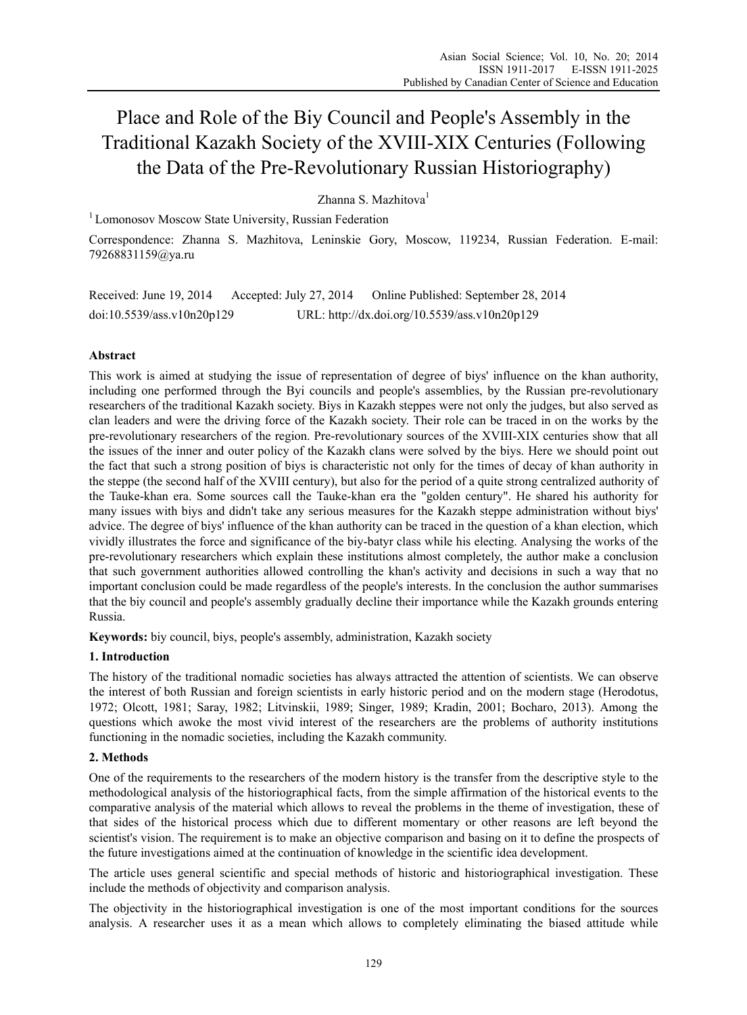# Place and Role of the Biy Council and People's Assembly in the Traditional Kazakh Society of the XVIII-XIX Centuries (Following the Data of the Pre-Revolutionary Russian Historiography)

## Zhanna S. Mazhitova<sup>1</sup>

<sup>1</sup> Lomonosov Moscow State University, Russian Federation

Correspondence: Zhanna S. Mazhitova, Leninskie Gory, Moscow, 119234, Russian Federation. E-mail: 79268831159@ya.ru

Received: June 19, 2014 Accepted: July 27, 2014 Online Published: September 28, 2014 doi:10.5539/ass.v10n20p129 URL: http://dx.doi.org/10.5539/ass.v10n20p129

## **Abstract**

This work is aimed at studying the issue of representation of degree of biys' influence on the khan authority, including one performed through the Byi councils and people's assemblies, by the Russian pre-revolutionary researchers of the traditional Kazakh society. Biys in Kazakh steppes were not only the judges, but also served as clan leaders and were the driving force of the Kazakh society. Their role can be traced in on the works by the pre-revolutionary researchers of the region. Pre-revolutionary sources of the XVIII-XIX centuries show that all the issues of the inner and outer policy of the Kazakh clans were solved by the biys. Here we should point out the fact that such a strong position of biys is characteristic not only for the times of decay of khan authority in the steppe (the second half of the XVIII century), but also for the period of a quite strong centralized authority of the Tauke-khan era. Some sources call the Tauke-khan era the "golden century". He shared his authority for many issues with biys and didn't take any serious measures for the Kazakh steppe administration without biys' advice. The degree of biys' influence of the khan authority can be traced in the question of a khan election, which vividly illustrates the force and significance of the biy-batyr class while his electing. Analysing the works of the pre-revolutionary researchers which explain these institutions almost completely, the author make a conclusion that such government authorities allowed controlling the khan's activity and decisions in such a way that no important conclusion could be made regardless of the people's interests. In the conclusion the author summarises that the biy council and people's assembly gradually decline their importance while the Kazakh grounds entering Russia.

**Keywords:** biy council, biys, people's assembly, administration, Kazakh society

#### **1. Introduction**

The history of the traditional nomadic societies has always attracted the attention of scientists. We can observe the interest of both Russian and foreign scientists in early historic period and on the modern stage (Herodotus, 1972; Olcott, 1981; Saray, 1982; Litvinskii, 1989; Singer, 1989; Kradin, 2001; Bocharo, 2013). Among the questions which awoke the most vivid interest of the researchers are the problems of authority institutions functioning in the nomadic societies, including the Kazakh community.

## **2. Methods**

One of the requirements to the researchers of the modern history is the transfer from the descriptive style to the methodological analysis of the historiographical facts, from the simple affirmation of the historical events to the comparative analysis of the material which allows to reveal the problems in the theme of investigation, these of that sides of the historical process which due to different momentary or other reasons are left beyond the scientist's vision. The requirement is to make an objective comparison and basing on it to define the prospects of the future investigations aimed at the continuation of knowledge in the scientific idea development.

The article uses general scientific and special methods of historic and historiographical investigation. These include the methods of objectivity and comparison analysis.

The objectivity in the historiographical investigation is one of the most important conditions for the sources analysis. A researcher uses it as a mean which allows to completely eliminating the biased attitude while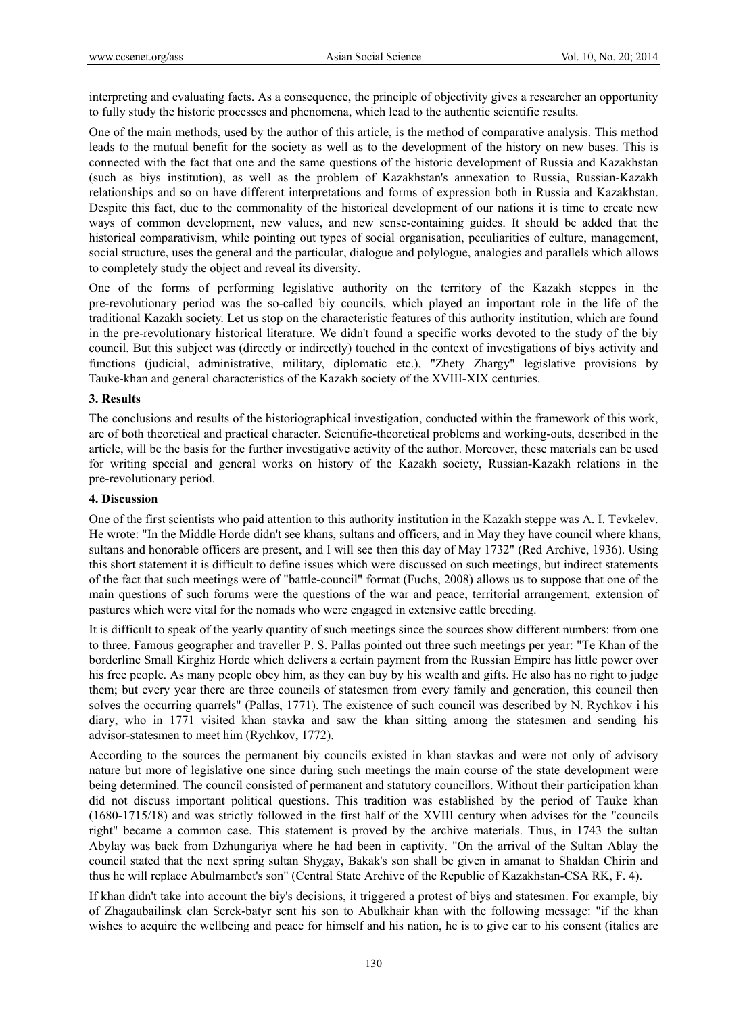interpreting and evaluating facts. As a consequence, the principle of objectivity gives a researcher an opportunity to fully study the historic processes and phenomena, which lead to the authentic scientific results.

One of the main methods, used by the author of this article, is the method of comparative analysis. This method leads to the mutual benefit for the society as well as to the development of the history on new bases. This is connected with the fact that one and the same questions of the historic development of Russia and Kazakhstan (such as biys institution), as well as the problem of Kazakhstan's annexation to Russia, Russian-Kazakh relationships and so on have different interpretations and forms of expression both in Russia and Kazakhstan. Despite this fact, due to the commonality of the historical development of our nations it is time to create new ways of common development, new values, and new sense-containing guides. It should be added that the historical comparativism, while pointing out types of social organisation, peculiarities of culture, management, social structure, uses the general and the particular, dialogue and polylogue, analogies and parallels which allows to completely study the object and reveal its diversity.

One of the forms of performing legislative authority on the territory of the Kazakh steppes in the pre-revolutionary period was the so-called biy councils, which played an important role in the life of the traditional Kazakh society. Let us stop on the characteristic features of this authority institution, which are found in the pre-revolutionary historical literature. We didn't found a specific works devoted to the study of the biy council. But this subject was (directly or indirectly) touched in the context of investigations of biys activity and functions (judicial, administrative, military, diplomatic etc.), "Zhety Zhargy" legislative provisions by Tauke-khan and general characteristics of the Kazakh society of the XVIII-XIX centuries.

#### **3. Results**

The conclusions and results of the historiographical investigation, conducted within the framework of this work, are of both theoretical and practical character. Scientific-theoretical problems and working-outs, described in the article, will be the basis for the further investigative activity of the author. Moreover, these materials can be used for writing special and general works on history of the Kazakh society, Russian-Kazakh relations in the pre-revolutionary period.

#### **4. Discussion**

One of the first scientists who paid attention to this authority institution in the Kazakh steppe was A. I. Tevkelev. He wrote: "In the Middle Horde didn't see khans, sultans and officers, and in May they have council where khans, sultans and honorable officers are present, and I will see then this day of May 1732" (Red Archive, 1936). Using this short statement it is difficult to define issues which were discussed on such meetings, but indirect statements of the fact that such meetings were of "battle-council" format (Fuchs, 2008) allows us to suppose that one of the main questions of such forums were the questions of the war and peace, territorial arrangement, extension of pastures which were vital for the nomads who were engaged in extensive cattle breeding.

It is difficult to speak of the yearly quantity of such meetings since the sources show different numbers: from one to three. Famous geographer and traveller P. S. Pallas pointed out three such meetings per year: "Te Khan of the borderline Small Kirghiz Horde which delivers a certain payment from the Russian Empire has little power over his free people. As many people obey him, as they can buy by his wealth and gifts. He also has no right to judge them; but every year there are three councils of statesmen from every family and generation, this council then solves the occurring quarrels" (Pallas, 1771). The existence of such council was described by N. Rychkov i his diary, who in 1771 visited khan stavka and saw the khan sitting among the statesmen and sending his advisor-statesmen to meet him (Rychkov, 1772).

According to the sources the permanent biy councils existed in khan stavkas and were not only of advisory nature but more of legislative one since during such meetings the main course of the state development were being determined. The council consisted of permanent and statutory councillors. Without their participation khan did not discuss important political questions. This tradition was established by the period of Tauke khan (1680-1715/18) and was strictly followed in the first half of the XVIII century when advises for the "councils right" became a common case. This statement is proved by the archive materials. Thus, in 1743 the sultan Abylay was back from Dzhungariya where he had been in captivity. "On the arrival of the Sultan Ablay the council stated that the next spring sultan Shygay, Bakak's son shall be given in amanat to Shaldan Chirin and thus he will replace Abulmambet's son" (Central State Archive of the Republic of Kazakhstan-CSA RK, F. 4).

If khan didn't take into account the biy's decisions, it triggered a protest of biys and statesmen. For example, biy of Zhagaubailinsk clan Serek-batyr sent his son to Abulkhair khan with the following message: "if the khan wishes to acquire the wellbeing and peace for himself and his nation, he is to give ear to his consent (italics are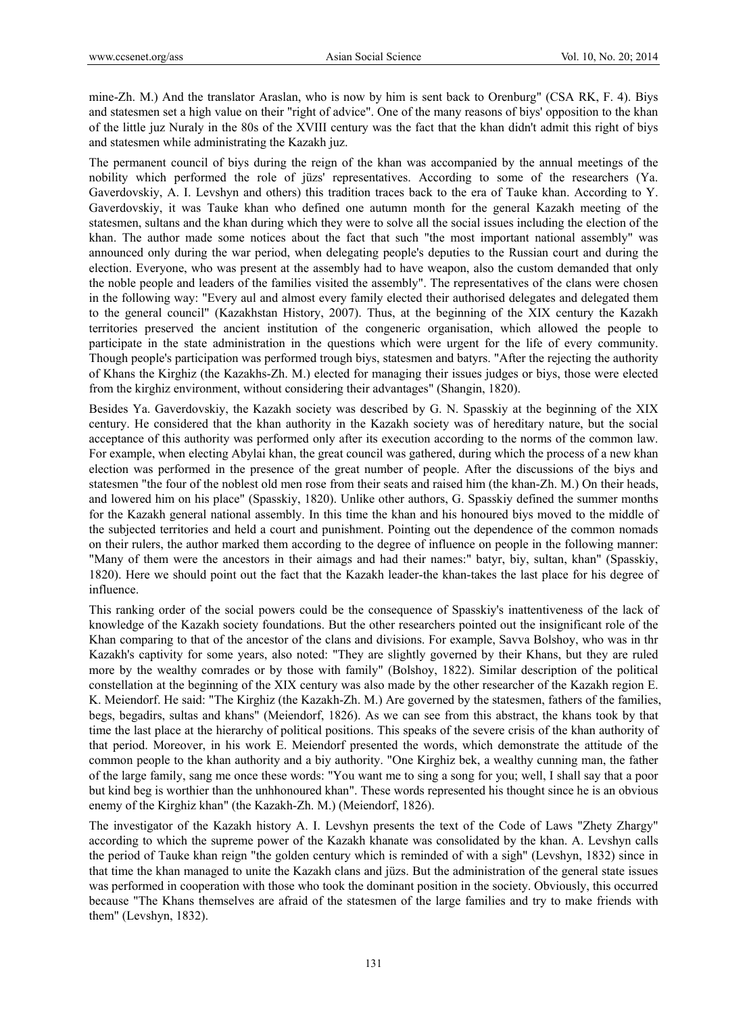mine-Zh. M.) And the translator Araslan, who is now by him is sent back to Orenburg" (CSA RK, F. 4). Biys and statesmen set a high value on their "right of advice". One of the many reasons of biys' opposition to the khan of the little juz Nuraly in the 80s of the XVIII century was the fact that the khan didn't admit this right of biys and statesmen while administrating the Kazakh juz.

The permanent council of biys during the reign of the khan was accompanied by the annual meetings of the nobility which performed the role of jüzs' representatives. According to some of the researchers (Ya. Gaverdovskiy, A. I. Levshyn and others) this tradition traces back to the era of Tauke khan. According to Y. Gaverdovskiy, it was Tauke khan who defined one autumn month for the general Kazakh meeting of the statesmen, sultans and the khan during which they were to solve all the social issues including the election of the khan. The author made some notices about the fact that such "the most important national assembly" was announced only during the war period, when delegating people's deputies to the Russian court and during the election. Everyone, who was present at the assembly had to have weapon, also the custom demanded that only the noble people and leaders of the families visited the assembly". The representatives of the clans were chosen in the following way: "Every aul and almost every family elected their authorised delegates and delegated them to the general council" (Kazakhstan History, 2007). Thus, at the beginning of the XIX century the Kazakh territories preserved the ancient institution of the congeneric organisation, which allowed the people to participate in the state administration in the questions which were urgent for the life of every community. Though people's participation was performed trough biys, statesmen and batyrs. "After the rejecting the authority of Khans the Kirghiz (the Kazakhs-Zh. M.) elected for managing their issues judges or biys, those were elected from the kirghiz environment, without considering their advantages" (Shangin, 1820).

Besides Ya. Gaverdovskiy, the Kazakh society was described by G. N. Spasskiy at the beginning of the XIX century. He considered that the khan authority in the Kazakh society was of hereditary nature, but the social acceptance of this authority was performed only after its execution according to the norms of the common law. For example, when electing Abylai khan, the great council was gathered, during which the process of a new khan election was performed in the presence of the great number of people. After the discussions of the biys and statesmen "the four of the noblest old men rose from their seats and raised him (the khan-Zh. M.) On their heads, and lowered him on his place" (Spasskiy, 1820). Unlike other authors, G. Spasskiy defined the summer months for the Kazakh general national assembly. In this time the khan and his honoured biys moved to the middle of the subjected territories and held a court and punishment. Pointing out the dependence of the common nomads on their rulers, the author marked them according to the degree of influence on people in the following manner: "Many of them were the ancestors in their aimags and had their names:" batyr, biy, sultan, khan" (Spasskiy, 1820). Here we should point out the fact that the Kazakh leader-the khan-takes the last place for his degree of influence.

This ranking order of the social powers could be the consequence of Spasskiy's inattentiveness of the lack of knowledge of the Kazakh society foundations. But the other researchers pointed out the insignificant role of the Khan comparing to that of the ancestor of the clans and divisions. For example, Savva Bolshoy, who was in thr Kazakh's captivity for some years, also noted: "They are slightly governed by their Khans, but they are ruled more by the wealthy comrades or by those with family" (Bolshoy, 1822). Similar description of the political constellation at the beginning of the XIX century was also made by the other researcher of the Kazakh region E. K. Meiendorf. He said: "The Kirghiz (the Kazakh-Zh. M.) Are governed by the statesmen, fathers of the families, begs, begadirs, sultas and khans" (Meiendorf, 1826). As we can see from this abstract, the khans took by that time the last place at the hierarchy of political positions. This speaks of the severe crisis of the khan authority of that period. Moreover, in his work E. Meiendorf presented the words, which demonstrate the attitude of the common people to the khan authority and a biy authority. "One Kirghiz bek, a wealthy cunning man, the father of the large family, sang me once these words: "You want me to sing a song for you; well, I shall say that a poor but kind beg is worthier than the unhhonoured khan". These words represented his thought since he is an obvious enemy of the Kirghiz khan" (the Kazakh-Zh. M.) (Meiendorf, 1826).

The investigator of the Kazakh history A. I. Levshyn presents the text of the Code of Laws "Zhety Zhargy" according to which the supreme power of the Kazakh khanate was consolidated by the khan. A. Levshyn calls the period of Tauke khan reign "the golden century which is reminded of with a sigh" (Levshyn, 1832) since in that time the khan managed to unite the Kazakh clans and jüzs. But the administration of the general state issues was performed in cooperation with those who took the dominant position in the society. Obviously, this occurred because "The Khans themselves are afraid of the statesmen of the large families and try to make friends with them" (Levshyn, 1832).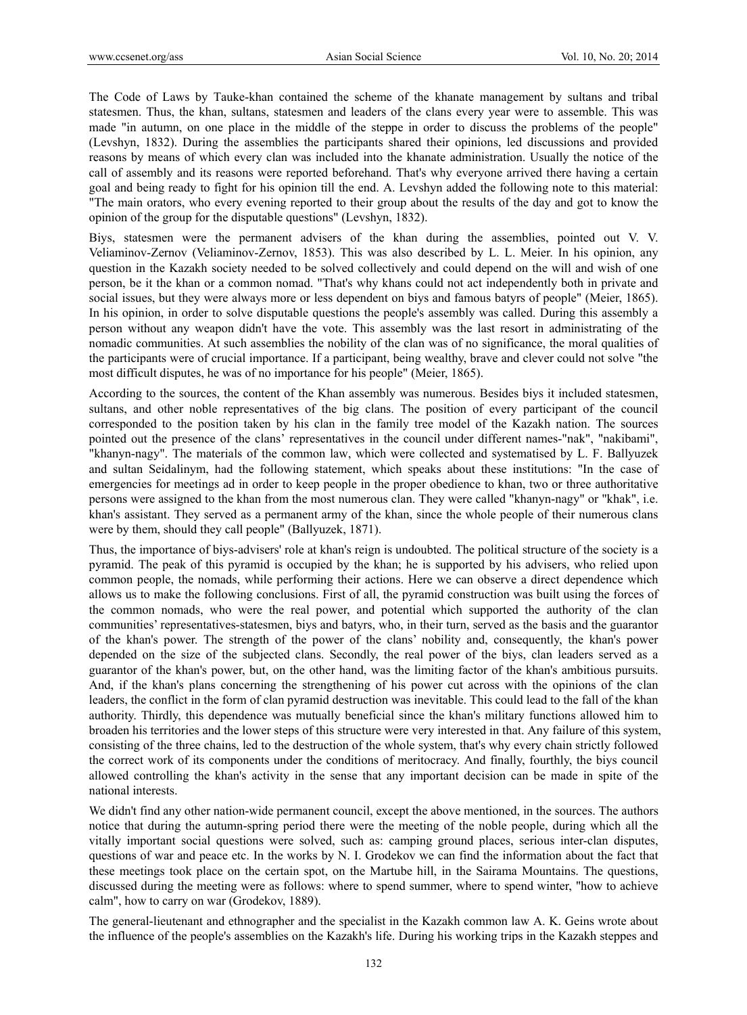The Code of Laws by Tauke-khan contained the scheme of the khanate management by sultans and tribal statesmen. Thus, the khan, sultans, statesmen and leaders of the clans every year were to assemble. This was made "in autumn, on one place in the middle of the steppe in order to discuss the problems of the people" (Levshyn, 1832). During the assemblies the participants shared their opinions, led discussions and provided reasons by means of which every clan was included into the khanate administration. Usually the notice of the call of assembly and its reasons were reported beforehand. That's why everyone arrived there having a certain goal and being ready to fight for his opinion till the end. A. Levshyn added the following note to this material: "The main orators, who every evening reported to their group about the results of the day and got to know the opinion of the group for the disputable questions" (Levshyn, 1832).

Biys, statesmen were the permanent advisers of the khan during the assemblies, pointed out V. V. Veliaminov-Zernov (Veliaminov-Zernov, 1853). This was also described by L. L. Meier. In his opinion, any question in the Kazakh society needed to be solved collectively and could depend on the will and wish of one person, be it the khan or a common nomad. "That's why khans could not act independently both in private and social issues, but they were always more or less dependent on biys and famous batyrs of people" (Meier, 1865). In his opinion, in order to solve disputable questions the people's assembly was called. During this assembly a person without any weapon didn't have the vote. This assembly was the last resort in administrating of the nomadic communities. At such assemblies the nobility of the clan was of no significance, the moral qualities of the participants were of crucial importance. If a participant, being wealthy, brave and clever could not solve "the most difficult disputes, he was of no importance for his people" (Meier, 1865).

According to the sources, the content of the Khan assembly was numerous. Besides biys it included statesmen, sultans, and other noble representatives of the big clans. The position of every participant of the council corresponded to the position taken by his clan in the family tree model of the Kazakh nation. The sources pointed out the presence of the clans' representatives in the council under different names-"nak", "nakibami", "khanyn-nagy". The materials of the common law, which were collected and systematised by L. F. Ballyuzek and sultan Seidalinym, had the following statement, which speaks about these institutions: "In the case of emergencies for meetings ad in order to keep people in the proper obedience to khan, two or three authoritative persons were assigned to the khan from the most numerous clan. They were called "khanyn-nagy" or "khak", i.e. khan's assistant. They served as a permanent army of the khan, since the whole people of their numerous clans were by them, should they call people" (Ballyuzek, 1871).

Thus, the importance of biys-advisers' role at khan's reign is undoubted. The political structure of the society is a pyramid. The peak of this pyramid is occupied by the khan; he is supported by his advisers, who relied upon common people, the nomads, while performing their actions. Here we can observe a direct dependence which allows us to make the following conclusions. First of all, the pyramid construction was built using the forces of the common nomads, who were the real power, and potential which supported the authority of the clan communities' representatives-statesmen, biys and batyrs, who, in their turn, served as the basis and the guarantor of the khan's power. The strength of the power of the clans' nobility and, consequently, the khan's power depended on the size of the subjected clans. Secondly, the real power of the biys, clan leaders served as a guarantor of the khan's power, but, on the other hand, was the limiting factor of the khan's ambitious pursuits. And, if the khan's plans concerning the strengthening of his power cut across with the opinions of the clan leaders, the conflict in the form of clan pyramid destruction was inevitable. This could lead to the fall of the khan authority. Thirdly, this dependence was mutually beneficial since the khan's military functions allowed him to broaden his territories and the lower steps of this structure were very interested in that. Any failure of this system, consisting of the three chains, led to the destruction of the whole system, that's why every chain strictly followed the correct work of its components under the conditions of meritocracy. And finally, fourthly, the biys council allowed controlling the khan's activity in the sense that any important decision can be made in spite of the national interests.

We didn't find any other nation-wide permanent council, except the above mentioned, in the sources. The authors notice that during the autumn-spring period there were the meeting of the noble people, during which all the vitally important social questions were solved, such as: camping ground places, serious inter-clan disputes, questions of war and peace etc. In the works by N. I. Grodekov we can find the information about the fact that these meetings took place on the certain spot, on the Martube hill, in the Sairama Mountains. The questions, discussed during the meeting were as follows: where to spend summer, where to spend winter, "how to achieve calm", how to carry on war (Grodekov, 1889).

The general-lieutenant and ethnographer and the specialist in the Kazakh common law A. K. Geins wrote about the influence of the people's assemblies on the Kazakh's life. During his working trips in the Kazakh steppes and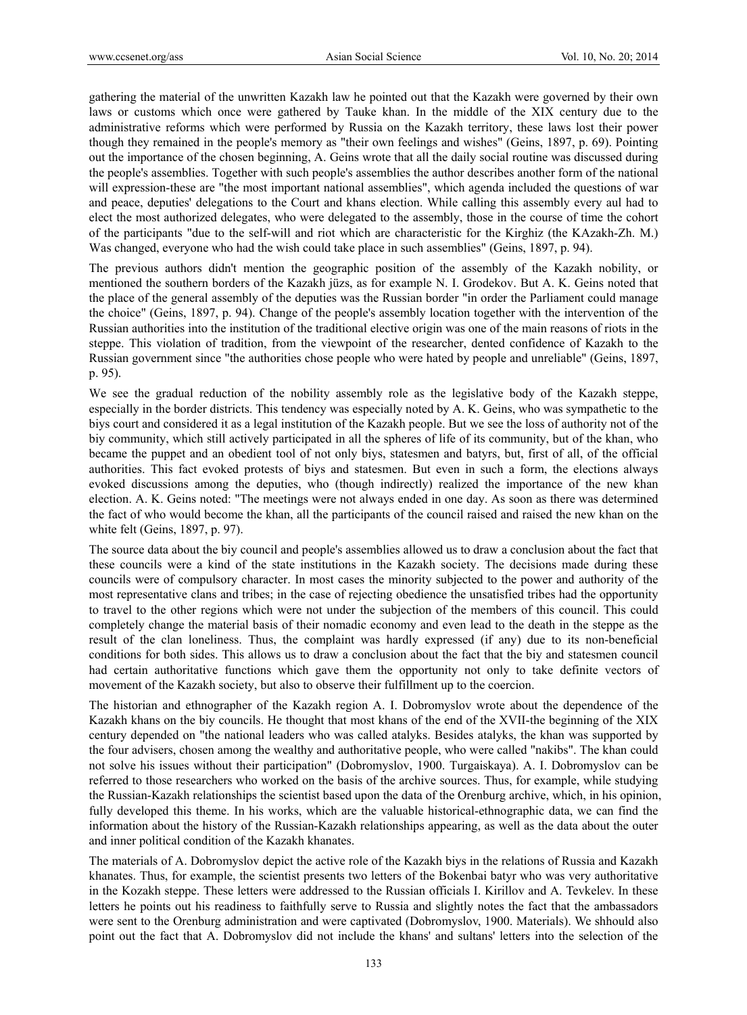gathering the material of the unwritten Kazakh law he pointed out that the Kazakh were governed by their own laws or customs which once were gathered by Tauke khan. In the middle of the XIX century due to the administrative reforms which were performed by Russia on the Kazakh territory, these laws lost their power though they remained in the people's memory as "their own feelings and wishes" (Geins, 1897, p. 69). Pointing out the importance of the chosen beginning, A. Geins wrote that all the daily social routine was discussed during the people's assemblies. Together with such people's assemblies the author describes another form of the national will expression-these are "the most important national assemblies", which agenda included the questions of war and peace, deputies' delegations to the Court and khans election. While calling this assembly every aul had to elect the most authorized delegates, who were delegated to the assembly, those in the course of time the cohort of the participants "due to the self-will and riot which are characteristic for the Kirghiz (the KAzakh-Zh. M.) Was changed, everyone who had the wish could take place in such assemblies" (Geins, 1897, p. 94).

The previous authors didn't mention the geographic position of the assembly of the Kazakh nobility, or mentioned the southern borders of the Kazakh jüzs, as for example N. I. Grodekov. But A. K. Geins noted that the place of the general assembly of the deputies was the Russian border "in order the Parliament could manage the choice" (Geins, 1897, p. 94). Change of the people's assembly location together with the intervention of the Russian authorities into the institution of the traditional elective origin was one of the main reasons of riots in the steppe. This violation of tradition, from the viewpoint of the researcher, dented confidence of Kazakh to the Russian government since "the authorities chose people who were hated by people and unreliable" (Geins, 1897, p. 95).

We see the gradual reduction of the nobility assembly role as the legislative body of the Kazakh steppe, especially in the border districts. This tendency was especially noted by A. K. Geins, who was sympathetic to the biys court and considered it as a legal institution of the Kazakh people. But we see the loss of authority not of the biy community, which still actively participated in all the spheres of life of its community, but of the khan, who became the puppet and an obedient tool of not only biys, statesmen and batyrs, but, first of all, of the official authorities. This fact evoked protests of biys and statesmen. But even in such a form, the elections always evoked discussions among the deputies, who (though indirectly) realized the importance of the new khan election. A. K. Geins noted: "The meetings were not always ended in one day. As soon as there was determined the fact of who would become the khan, all the participants of the council raised and raised the new khan on the white felt (Geins, 1897, p. 97).

The source data about the biy council and people's assemblies allowed us to draw a conclusion about the fact that these councils were a kind of the state institutions in the Kazakh society. The decisions made during these councils were of compulsory character. In most cases the minority subjected to the power and authority of the most representative clans and tribes; in the case of rejecting obedience the unsatisfied tribes had the opportunity to travel to the other regions which were not under the subjection of the members of this council. This could completely change the material basis of their nomadic economy and even lead to the death in the steppe as the result of the clan loneliness. Thus, the complaint was hardly expressed (if any) due to its non-beneficial conditions for both sides. This allows us to draw a conclusion about the fact that the biy and statesmen council had certain authoritative functions which gave them the opportunity not only to take definite vectors of movement of the Kazakh society, but also to observe their fulfillment up to the coercion.

The historian and ethnographer of the Kazakh region A. I. Dobromyslov wrote about the dependence of the Kazakh khans on the biy councils. He thought that most khans of the end of the XVII-the beginning of the XIX century depended on "the national leaders who was called atalyks. Besides atalyks, the khan was supported by the four advisers, chosen among the wealthy and authoritative people, who were called "nakibs". The khan could not solve his issues without their participation" (Dobromyslov, 1900. Turgaiskaya). A. I. Dobromyslov can be referred to those researchers who worked on the basis of the archive sources. Thus, for example, while studying the Russian-Kazakh relationships the scientist based upon the data of the Orenburg archive, which, in his opinion, fully developed this theme. In his works, which are the valuable historical-ethnographic data, we can find the information about the history of the Russian-Kazakh relationships appearing, as well as the data about the outer and inner political condition of the Kazakh khanates.

The materials of A. Dobromyslov depict the active role of the Kazakh biys in the relations of Russia and Kazakh khanates. Thus, for example, the scientist presents two letters of the Bokenbai batyr who was very authoritative in the Kozakh steppe. These letters were addressed to the Russian officials I. Kirillov and A. Tevkelev. In these letters he points out his readiness to faithfully serve to Russia and slightly notes the fact that the ambassadors were sent to the Orenburg administration and were captivated (Dobromyslov, 1900. Materials). We shhould also point out the fact that A. Dobromyslov did not include the khans' and sultans' letters into the selection of the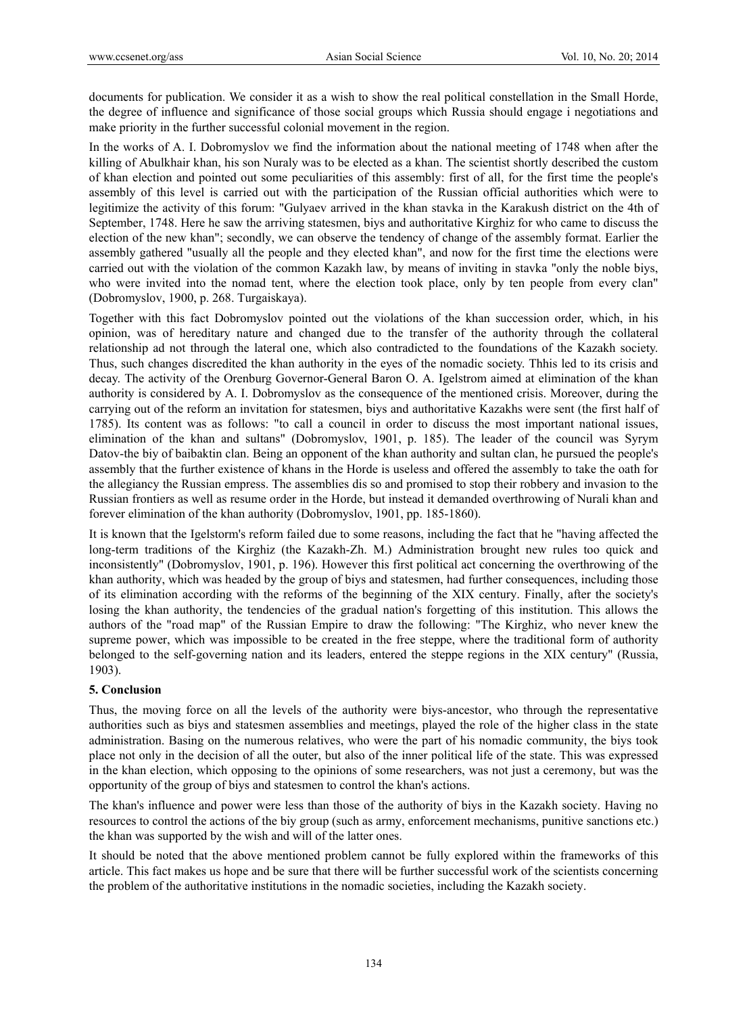documents for publication. We consider it as a wish to show the real political constellation in the Small Horde, the degree of influence and significance of those social groups which Russia should engage i negotiations and make priority in the further successful colonial movement in the region.

In the works of A. I. Dobromyslov we find the information about the national meeting of 1748 when after the killing of Abulkhair khan, his son Nuraly was to be elected as a khan. The scientist shortly described the custom of khan election and pointed out some peculiarities of this assembly: first of all, for the first time the people's assembly of this level is carried out with the participation of the Russian official authorities which were to legitimize the activity of this forum: "Gulyaev arrived in the khan stavka in the Karakush district on the 4th of September, 1748. Here he saw the arriving statesmen, biys and authoritative Kirghiz for who came to discuss the election of the new khan"; secondly, we can observe the tendency of change of the assembly format. Earlier the assembly gathered "usually all the people and they elected khan", and now for the first time the elections were carried out with the violation of the common Kazakh law, by means of inviting in stavka "only the noble biys, who were invited into the nomad tent, where the election took place, only by ten people from every clan" (Dobromyslov, 1900, p. 268. Turgaiskaya).

Together with this fact Dobromyslov pointed out the violations of the khan succession order, which, in his opinion, was of hereditary nature and changed due to the transfer of the authority through the collateral relationship ad not through the lateral one, which also contradicted to the foundations of the Kazakh society. Thus, such changes discredited the khan authority in the eyes of the nomadic society. Thhis led to its crisis and decay. The activity of the Orenburg Governor-General Baron O. A. Igelstrom aimed at elimination of the khan authority is considered by A. I. Dobromyslov as the consequence of the mentioned crisis. Moreover, during the carrying out of the reform an invitation for statesmen, biys and authoritative Kazakhs were sent (the first half of 1785). Its content was as follows: "to call a council in order to discuss the most important national issues, elimination of the khan and sultans" (Dobromyslov, 1901, p. 185). The leader of the council was Syrym Datov-the biy of baibaktin clan. Being an opponent of the khan authority and sultan clan, he pursued the people's assembly that the further existence of khans in the Horde is useless and offered the assembly to take the oath for the allegiancy the Russian empress. The assemblies dis so and promised to stop their robbery and invasion to the Russian frontiers as well as resume order in the Horde, but instead it demanded overthrowing of Nurali khan and forever elimination of the khan authority (Dobromyslov, 1901, pp. 185-1860).

It is known that the Igelstorm's reform failed due to some reasons, including the fact that he "having affected the long-term traditions of the Kirghiz (the Kazakh-Zh. M.) Administration brought new rules too quick and inconsistently" (Dobromyslov, 1901, p. 196). However this first political act concerning the overthrowing of the khan authority, which was headed by the group of biys and statesmen, had further consequences, including those of its elimination according with the reforms of the beginning of the XIX century. Finally, after the society's losing the khan authority, the tendencies of the gradual nation's forgetting of this institution. This allows the authors of the "road map" of the Russian Empire to draw the following: "The Kirghiz, who never knew the supreme power, which was impossible to be created in the free steppe, where the traditional form of authority belonged to the self-governing nation and its leaders, entered the steppe regions in the XIX century" (Russia, 1903).

#### **5. Conclusion**

Thus, the moving force on all the levels of the authority were biys-ancestor, who through the representative authorities such as biys and statesmen assemblies and meetings, played the role of the higher class in the state administration. Basing on the numerous relatives, who were the part of his nomadic community, the biys took place not only in the decision of all the outer, but also of the inner political life of the state. This was expressed in the khan election, which opposing to the opinions of some researchers, was not just a ceremony, but was the opportunity of the group of biys and statesmen to control the khan's actions.

The khan's influence and power were less than those of the authority of biys in the Kazakh society. Having no resources to control the actions of the biy group (such as army, enforcement mechanisms, punitive sanctions etc.) the khan was supported by the wish and will of the latter ones.

It should be noted that the above mentioned problem cannot be fully explored within the frameworks of this article. This fact makes us hope and be sure that there will be further successful work of the scientists concerning the problem of the authoritative institutions in the nomadic societies, including the Kazakh society.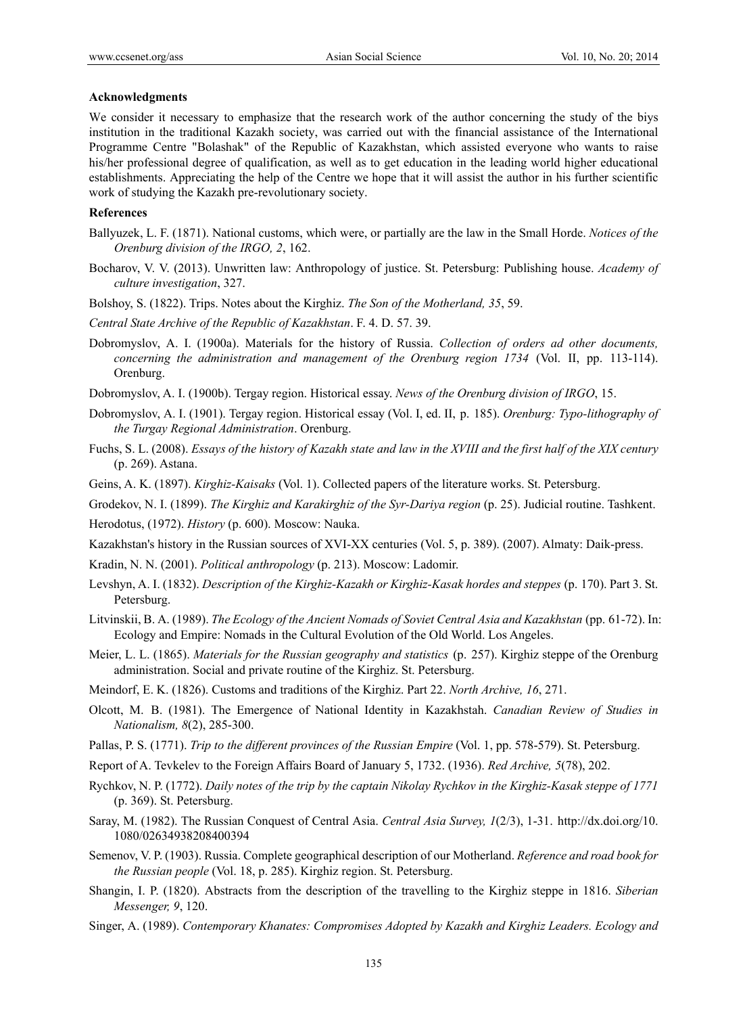#### **Acknowledgments**

We consider it necessary to emphasize that the research work of the author concerning the study of the biys institution in the traditional Kazakh society, was carried out with the financial assistance of the International Programme Centre "Bolashak" of the Republic of Kazakhstan, which assisted everyone who wants to raise his/her professional degree of qualification, as well as to get education in the leading world higher educational establishments. Appreciating the help of the Centre we hope that it will assist the author in his further scientific work of studying the Kazakh pre-revolutionary society.

#### **References**

- Ballyuzek, L. F. (1871). National customs, which were, or partially are the law in the Small Horde. *Notices of the Orenburg division of the IRGO, 2*, 162.
- Bocharov, V. V. (2013). Unwritten law: Anthropology of justice. St. Petersburg: Publishing house. *Academy of culture investigation*, 327.
- Bolshoy, S. (1822). Trips. Notes about the Kirghiz. *The Son of the Motherland, 35*, 59.
- *Central State Archive of the Republic of Kazakhstan*. F. 4. D. 57. 39.
- Dobromyslov, A. I. (1900a). Materials for the history of Russia. *Collection of orders ad other documents, concerning the administration and management of the Orenburg region 1734* (Vol. II, pp. 113-114). Orenburg.
- Dobromyslov, A. I. (1900b). Tergay region. Historical essay. *News of the Orenburg division of IRGO*, 15.
- Dobromyslov, A. I. (1901). Tergay region. Historical essay (Vol. I, ed. II, p. 185). *Orenburg: Typo-lithography of the Turgay Regional Administration*. Orenburg.
- Fuchs, S. L. (2008). *Essays of the history of Kazakh state and law in the XVIII and the first half of the XIX century*  (p. 269). Astana.
- Geins, A. K. (1897). *Kirghiz-Kaisaks* (Vol. 1). Collected papers of the literature works. St. Petersburg.

Grodekov, N. I. (1899). *The Kirghiz and Karakirghiz of the Syr-Dariya region* (p. 25). Judicial routine. Tashkent. Herodotus, (1972). *History* (p. 600). Moscow: Nauka.

- Kazakhstan's history in the Russian sources of XVI-XX centuries (Vol. 5, p. 389). (2007). Almaty: Daik-press.
- Kradin, N. N. (2001). *Political anthropology* (p. 213). Moscow: Ladomir.
- Levshyn, A. I. (1832). *Description of the Kirghiz-Kazakh or Kirghiz-Kasak hordes and steppes* (p. 170). Part 3. St. Petersburg.
- Litvinskii, B. A. (1989). *The Ecology of the Ancient Nomads of Soviet Central Asia and Kazakhstan* (pp. 61-72). In: Ecology and Empire: Nomads in the Cultural Evolution of the Old World. Los Angeles.
- Meier, L. L. (1865). *Materials for the Russian geography and statistics* (p. 257). Kirghiz steppe of the Orenburg administration. Social and private routine of the Kirghiz. St. Petersburg.
- Meindorf, E. K. (1826). Customs and traditions of the Kirghiz. Part 22. *North Archive, 16*, 271.
- Olcott, M. B. (1981). The Emergence of National Identity in Kazakhstah. *Canadian Review of Studies in Nationalism, 8*(2), 285-300.
- Pallas, P. S. (1771). *Trip to the different provinces of the Russian Empire* (Vol. 1, pp. 578-579). St. Petersburg.
- Report of A. Tevkelev to the Foreign Affairs Board of January 5, 1732. (1936). *Red Archive, 5*(78), 202.
- Rychkov, N. P. (1772). *Daily notes of the trip by the captain Nikolay Rychkov in the Kirghiz-Kasak steppe of 1771*  (p. 369). St. Petersburg.
- Saray, M. (1982). The Russian Conquest of Central Asia. *Central Asia Survey, 1*(2/3), 1-31. http://dx.doi.org/10. 1080/02634938208400394
- Semenov, V. P. (1903). Russia. Complete geographical description of our Motherland. *Reference and road book for the Russian people* (Vol. 18, p. 285). Kirghiz region. St. Petersburg.
- Shangin, I. P. (1820). Abstracts from the description of the travelling to the Kirghiz steppe in 1816. *Siberian Messenger, 9*, 120.
- Singer, A. (1989). *Contemporary Khanates: Compromises Adopted by Kazakh and Kirghiz Leaders. Ecology and*